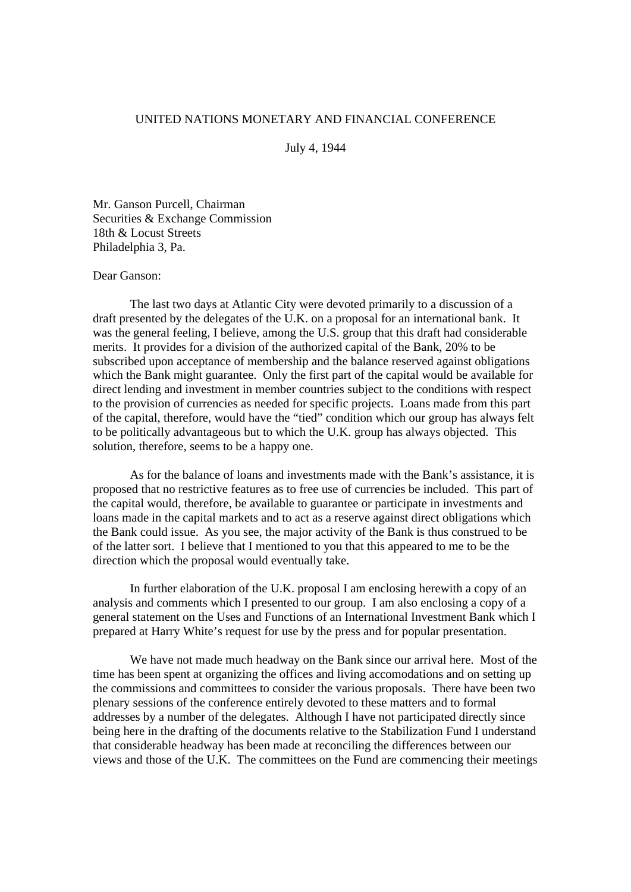## UNITED NATIONS MONETARY AND FINANCIAL CONFERENCE

July 4, 1944

Mr. Ganson Purcell, Chairman Securities & Exchange Commission 18th & Locust Streets Philadelphia 3, Pa.

## Dear Ganson:

The last two days at Atlantic City were devoted primarily to a discussion of a draft presented by the delegates of the U.K. on a proposal for an international bank. It was the general feeling, I believe, among the U.S. group that this draft had considerable merits. It provides for a division of the authorized capital of the Bank, 20% to be subscribed upon acceptance of membership and the balance reserved against obligations which the Bank might guarantee. Only the first part of the capital would be available for direct lending and investment in member countries subject to the conditions with respect to the provision of currencies as needed for specific projects. Loans made from this part of the capital, therefore, would have the "tied" condition which our group has always felt to be politically advantageous but to which the U.K. group has always objected. This solution, therefore, seems to be a happy one.

As for the balance of loans and investments made with the Bank's assistance, it is proposed that no restrictive features as to free use of currencies be included. This part of the capital would, therefore, be available to guarantee or participate in investments and loans made in the capital markets and to act as a reserve against direct obligations which the Bank could issue. As you see, the major activity of the Bank is thus construed to be of the latter sort. I believe that I mentioned to you that this appeared to me to be the direction which the proposal would eventually take.

In further elaboration of the U.K. proposal I am enclosing herewith a copy of an analysis and comments which I presented to our group. I am also enclosing a copy of a general statement on the Uses and Functions of an International Investment Bank which I prepared at Harry White's request for use by the press and for popular presentation.

We have not made much headway on the Bank since our arrival here. Most of the time has been spent at organizing the offices and living accomodations and on setting up the commissions and committees to consider the various proposals. There have been two plenary sessions of the conference entirely devoted to these matters and to formal addresses by a number of the delegates. Although I have not participated directly since being here in the drafting of the documents relative to the Stabilization Fund I understand that considerable headway has been made at reconciling the differences between our views and those of the U.K. The committees on the Fund are commencing their meetings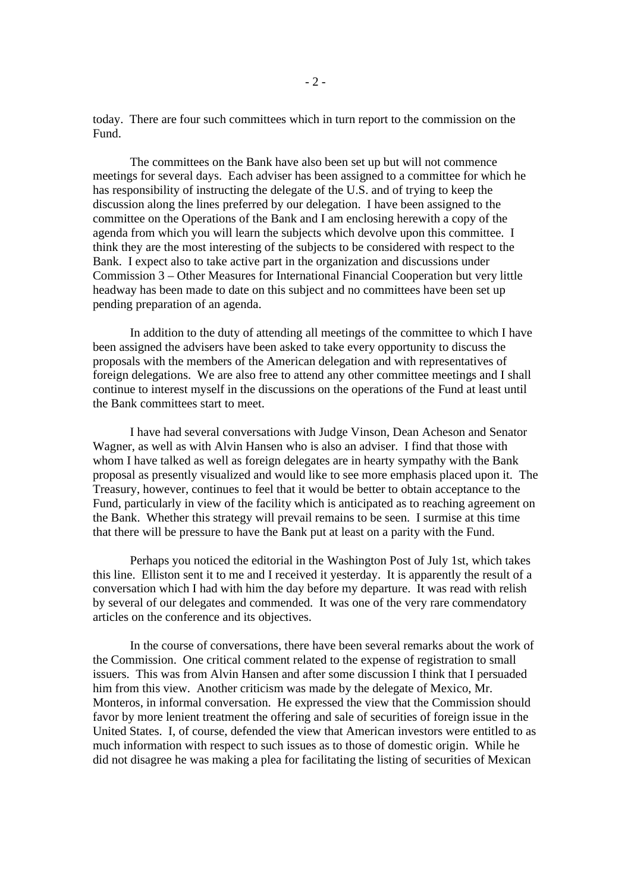today. There are four such committees which in turn report to the commission on the Fund.

The committees on the Bank have also been set up but will not commence meetings for several days. Each adviser has been assigned to a committee for which he has responsibility of instructing the delegate of the U.S. and of trying to keep the discussion along the lines preferred by our delegation. I have been assigned to the committee on the Operations of the Bank and I am enclosing herewith a copy of the agenda from which you will learn the subjects which devolve upon this committee. I think they are the most interesting of the subjects to be considered with respect to the Bank. I expect also to take active part in the organization and discussions under Commission 3 – Other Measures for International Financial Cooperation but very little headway has been made to date on this subject and no committees have been set up pending preparation of an agenda.

In addition to the duty of attending all meetings of the committee to which I have been assigned the advisers have been asked to take every opportunity to discuss the proposals with the members of the American delegation and with representatives of foreign delegations. We are also free to attend any other committee meetings and I shall continue to interest myself in the discussions on the operations of the Fund at least until the Bank committees start to meet.

I have had several conversations with Judge Vinson, Dean Acheson and Senator Wagner, as well as with Alvin Hansen who is also an adviser. I find that those with whom I have talked as well as foreign delegates are in hearty sympathy with the Bank proposal as presently visualized and would like to see more emphasis placed upon it. The Treasury, however, continues to feel that it would be better to obtain acceptance to the Fund, particularly in view of the facility which is anticipated as to reaching agreement on the Bank. Whether this strategy will prevail remains to be seen. I surmise at this time that there will be pressure to have the Bank put at least on a parity with the Fund.

Perhaps you noticed the editorial in the Washington Post of July 1st, which takes this line. Elliston sent it to me and I received it yesterday. It is apparently the result of a conversation which I had with him the day before my departure. It was read with relish by several of our delegates and commended. It was one of the very rare commendatory articles on the conference and its objectives.

In the course of conversations, there have been several remarks about the work of the Commission. One critical comment related to the expense of registration to small issuers. This was from Alvin Hansen and after some discussion I think that I persuaded him from this view. Another criticism was made by the delegate of Mexico, Mr. Monteros, in informal conversation. He expressed the view that the Commission should favor by more lenient treatment the offering and sale of securities of foreign issue in the United States. I, of course, defended the view that American investors were entitled to as much information with respect to such issues as to those of domestic origin. While he did not disagree he was making a plea for facilitating the listing of securities of Mexican